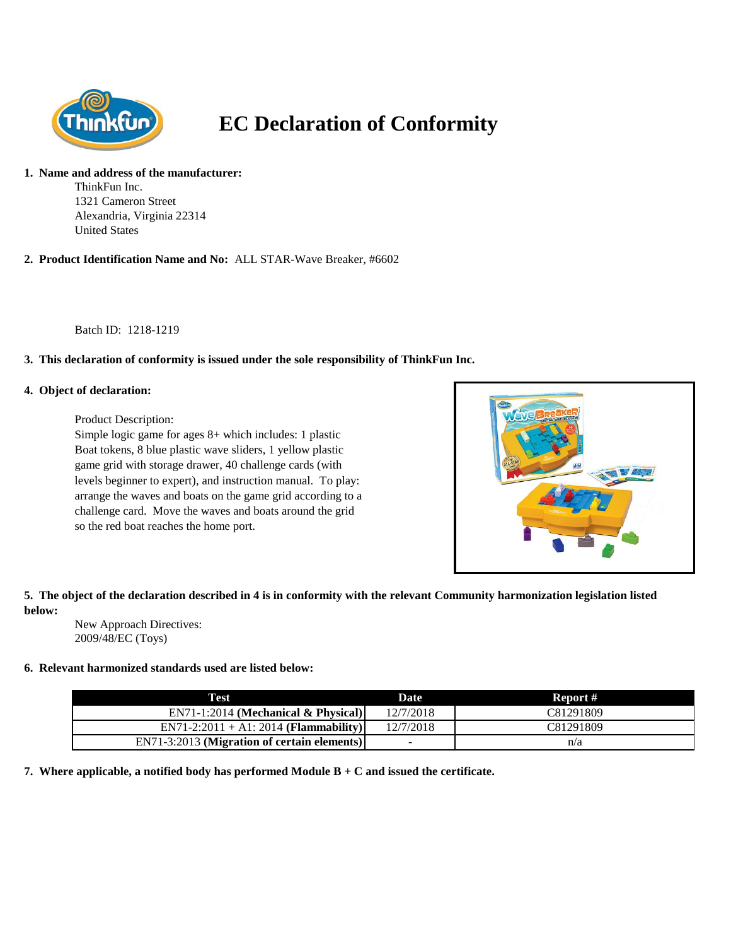

# **EC Declaration of Conformity**

#### **1. Name and address of the manufacturer:**

ThinkFun Inc. 1321 Cameron Street Alexandria, Virginia 22314 United States

**2. Product Identification Name and No:** ALL STAR-Wave Breaker, #6602

Batch ID: 1218-1219

## **3. This declaration of conformity is issued under the sole responsibility of ThinkFun Inc.**

## **4. Object of declaration:**

Product Description:

Simple logic game for ages 8+ which includes: 1 plastic Boat tokens, 8 blue plastic wave sliders, 1 yellow plastic game grid with storage drawer, 40 challenge cards (with levels beginner to expert), and instruction manual. To play: arrange the waves and boats on the game grid according to a challenge card. Move the waves and boats around the grid so the red boat reaches the home port.



# **5. The object of the declaration described in 4 is in conformity with the relevant Community harmonization legislation listed below:**

New Approach Directives: 2009/48/EC (Toys)

## **6. Relevant harmonized standards used are listed below:**

| Test                                        | <b>Date</b>              | Report #  |
|---------------------------------------------|--------------------------|-----------|
| $EN71-1:2014$ (Mechanical & Physical)       | 12/7/2018                | C81291809 |
| $EN71-2:2011 + A1:2014$ (Flammability)      | 12/7/2018                | C81291809 |
| EN71-3:2013 (Migration of certain elements) | $\overline{\phantom{a}}$ | n/a       |

**7. Where applicable, a notified body has performed Module B + C and issued the certificate.**